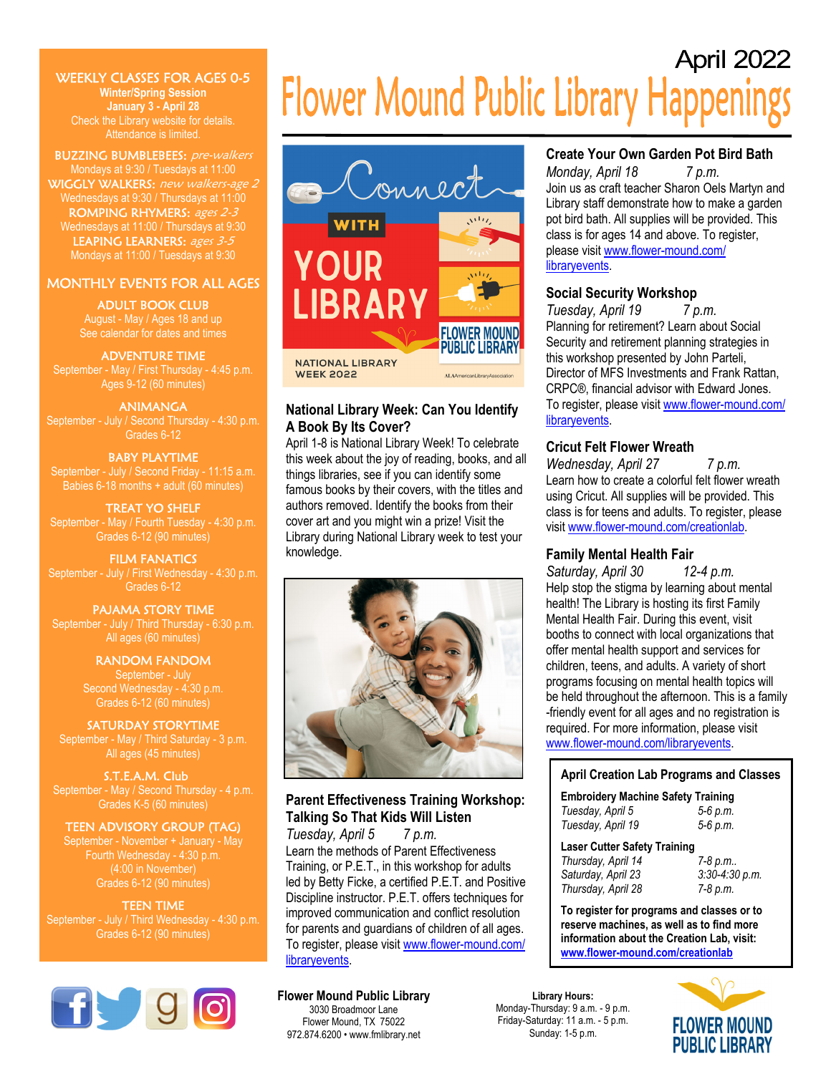# WEEKLY CLASSES FOR AGES 0-5

**Winter/Spring Session January 3 - April 28**  Check the Library website for details. Attendance is limited.

BUZZING BUMBLEBEES: pre-walkers Mondays at 9:30 / Tuesdays at 11:00 WIGGLY WALKERS: new walkers-age 2 Wednesdays at 9:30 / Thursdays at 11:00 ROMPING RHYMERS: ages 2-3 Wednesdays at 11:00 / Thursdays at 9:30 LEAPING LEARNERS: ages 3-5 Mondays at 11:00 / Tuesdays at 9:30

# MONTHLY EVENTS FOR ALL AGES

ADULT BOOK CLUB August - May / Ages 18 and up

# ADVENTURE TIME

September - May / First Thursday - 4:45 p.m. Ages 9-12 (60 minutes)

### ANIMANGA

September - July / Second Thursday - 4:30 p.m. Grades 6-12

### BABY PLAYTIME

September - July / Second Friday - 11:15 a.m. Babies 6-18 months + adult (60 minutes)

### TREAT YO SHELF

September - May / Fourth Tuesday - 4:30 p.m. Grades 6-12 (90 minutes)

# FILM FANATICS Grades 6-12

### PAJAMA STORY TIME

September - July / Third Thursday - 6:30 p.m. All ages (60 minutes)

#### RANDOM FANDOM September - July Second Wednesday - 4:30 p.m. Grades 6-12 (60 minutes)

SATURDAY STORYTIME September - May / Third Saturday - 3 p.m. All ages (45 minutes)

S.T.E.A.M. Club September - May / Second Thursday - 4 p.m. Grades K-5 (60 minutes)

# TEEN ADVISORY GROUP (TAG)

September - November + January - May Fourth Wednesday - 4:30 p.m. (4:00 in November) Grades 6-12 (90 minutes)

TEEN TIME September - July / Third Wednesday - 4:30 p.m. Grades 6-12 (90 minutes)



# April 2022 **Flower Mound Public Library Happenings**



# **National Library Week: Can You Identify A Book By Its Cover?**

April 1-8 is National Library Week! To celebrate this week about the joy of reading, books, and all things libraries, see if you can identify some famous books by their covers, with the titles and authors removed. Identify the books from their cover art and you might win a prize! Visit the Library during National Library week to test your knowledge.



# **Parent Effectiveness Training Workshop: Talking So That Kids Will Listen**

*Tuesday, April 5 7 p.m.*  Learn the methods of Parent Effectiveness Training, or P.E.T., in this workshop for adults led by Betty Ficke, a certified P.E.T. and Positive Discipline instructor. P.E.T. offers techniques for improved communication and conflict resolution for parents and guardians of children of all ages. To register, please visit www.flower-mound.com/ libraryevents.

### **Flower Mound Public Library**

3030 Broadmoor Lane Flower Mound, TX 75022 972.874.6200 • www.fmlibrary.net

# **Create Your Own Garden Pot Bird Bath**

*Monday, April 18 7 p.m.* Join us as craft teacher Sharon Oels Martyn and Library staff demonstrate how to make a garden pot bird bath. All supplies will be provided. This class is for ages 14 and above. To register, please visit www.flower-mound.com/ libraryevents.

# **Social Security Workshop**

*Tuesday, April 19 7 p.m.*  Planning for retirement? Learn about Social Security and retirement planning strategies in this workshop presented by John Parteli, Director of MFS Investments and Frank Rattan, CRPC®, financial advisor with Edward Jones. To register, please visit www.flower-mound.com/ libraryevents.

# **Cricut Felt Flower Wreath**

*Wednesday, April 27* 7 *p.m.* Learn how to create a colorful felt flower wreath using Cricut. All supplies will be provided. This class is for teens and adults. To register, please visit www.flower-mound.com/creationlab.

# **Family Mental Health Fair**

*Saturday, April 30 12-4 p.m.*  Help stop the stigma by learning about mental health! The Library is hosting its first Family Mental Health Fair. During this event, visit booths to connect with local organizations that offer mental health support and services for children, teens, and adults. A variety of short programs focusing on mental health topics will be held throughout the afternoon. This is a family -friendly event for all ages and no registration is required. For more information, please visit www.flower-mound.com/libraryevents.

## **April Creation Lab Programs and Classes**

| <b>Embroidery Machine Safety Training</b> |          |
|-------------------------------------------|----------|
| Tuesday, April 5                          | 5-6 p.m. |
| Tuesday, April 19                         | 5-6 p.m. |

| <b>Laser Cutter Safety Training</b> |                  |
|-------------------------------------|------------------|
| Thursday, April 14                  | 7-8 p.m          |
| Saturday, April 23                  | $3:30-4:30 p.m.$ |

*Thursday, April 28 7-8 p.m.*

**To register for programs and classes or to reserve machines, as well as to find more information about the Creation Lab, visit: www.flower-mound.com/creationlab**

**Library Hours:**  Monday-Thursday: 9 a.m. - 9 p.m. Friday-Saturday: 11 a.m. - 5 p.m. Sunday: 1-5 p.m.

**FLOWER MOUND PUBLIC LIBRARY**